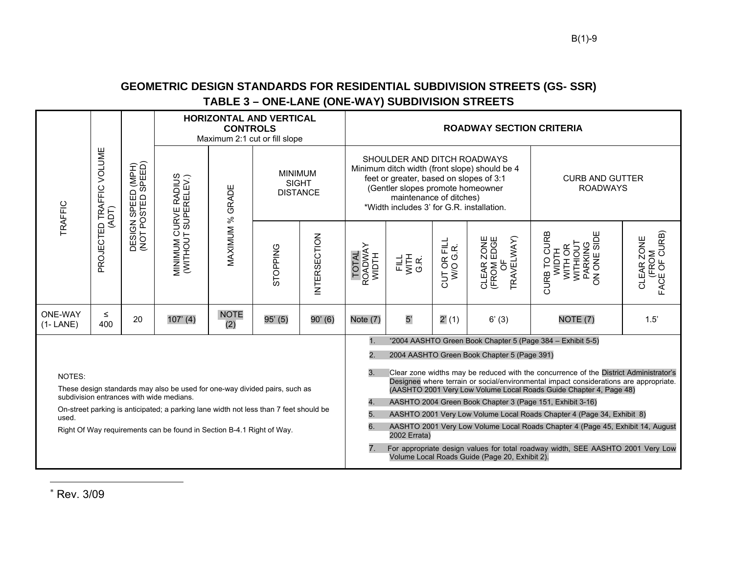## **GEOMETRIC DESIGN STANDARDS FOR RESIDENTIAL SUBDIVISION STREETS (GS- SSR) TABLE 3 – ONE-LANE (ONE-WAY) SUBDIVISION STREETS**

| <b>TRAFFIC</b>                                                                                                                                                                                                                                                                                              | PROJECTED TRAFFIC VOLUME<br>(ADT) | DESIGN SPEED (MPH)<br>(NOT POSTED SPEED) | <b>HORIZONTAL AND VERTICAL</b><br><b>CONTROLS</b><br>Maximum 2:1 cut or fill slope |                    |                                                   | <b>ROADWAY SECTION CRITERIA</b> |                                                                                                                                                                                                                                                                        |                                                           |                         |                                             |                                                                                      |                                      |  |
|-------------------------------------------------------------------------------------------------------------------------------------------------------------------------------------------------------------------------------------------------------------------------------------------------------------|-----------------------------------|------------------------------------------|------------------------------------------------------------------------------------|--------------------|---------------------------------------------------|---------------------------------|------------------------------------------------------------------------------------------------------------------------------------------------------------------------------------------------------------------------------------------------------------------------|-----------------------------------------------------------|-------------------------|---------------------------------------------|--------------------------------------------------------------------------------------|--------------------------------------|--|
|                                                                                                                                                                                                                                                                                                             |                                   |                                          | MINIMUM CURVE RADIUS<br>(WITHOUT SUPERELEV.)                                       | MAXIMUM % GRADE    | <b>MINIMUM</b><br><b>SIGHT</b><br><b>DISTANCE</b> |                                 | SHOULDER AND DITCH ROADWAYS<br>Minimum ditch width (front slope) should be 4<br>feet or greater, based on slopes of 3:1<br>(Gentler slopes promote homeowner<br>maintenance of ditches)<br>*Width includes 3' for G.R. installation.                                   |                                                           |                         |                                             | <b>CURB AND GUTTER</b><br><b>ROADWAYS</b>                                            |                                      |  |
|                                                                                                                                                                                                                                                                                                             |                                   |                                          |                                                                                    |                    | STOPPING                                          | <b>INTERSECTION</b>             | TOTAL<br>ROADWAY<br>WIDTH                                                                                                                                                                                                                                              | FILL<br>VITH<br>G.R.                                      | CUT OR FILL<br>W/O G.R. | TRAVELWAY)<br>CLEAR ZONE<br>(FROM EDGE<br>Ъ | PARKING<br>ON ONE SIDE<br>CURB TO CURB<br><b>WITHIOUT</b><br>WITH OR<br><b>WIDTH</b> | (FROM<br>FACE OF CURB)<br>CLEAR ZONE |  |
| <b>ONE-WAY</b><br>$(1 - LANE)$                                                                                                                                                                                                                                                                              | $\leq$<br>400                     | 20                                       | $107'$ (4)                                                                         | <b>NOTE</b><br>(2) | 95' (5)                                           | 90' (6)                         | Note (7)                                                                                                                                                                                                                                                               | 5'                                                        | 2'(1)                   | 6' (3)                                      | NOTE <sub>(7)</sub>                                                                  | 1.5'                                 |  |
|                                                                                                                                                                                                                                                                                                             |                                   |                                          |                                                                                    |                    |                                                   |                                 | *2004 AASHTO Green Book Chapter 5 (Page 384 - Exhibit 5-5)<br>1.                                                                                                                                                                                                       |                                                           |                         |                                             |                                                                                      |                                      |  |
|                                                                                                                                                                                                                                                                                                             |                                   |                                          |                                                                                    |                    |                                                   |                                 | 2.<br>2004 AASHTO Green Book Chapter 5 (Page 391)                                                                                                                                                                                                                      |                                                           |                         |                                             |                                                                                      |                                      |  |
| NOTES:<br>These design standards may also be used for one-way divided pairs, such as<br>subdivision entrances with wide medians.<br>On-street parking is anticipated; a parking lane width not less than 7 feet should be<br>used.<br>Right Of Way requirements can be found in Section B-4.1 Right of Way. |                                   |                                          |                                                                                    |                    |                                                   |                                 | 3 <sub>1</sub><br>Clear zone widths may be reduced with the concurrence of the District Administrator's<br>Designee where terrain or social/environmental impact considerations are appropriate.<br>(AASHTO 2001 Very Low Volume Local Roads Guide Chapter 4, Page 48) |                                                           |                         |                                             |                                                                                      |                                      |  |
|                                                                                                                                                                                                                                                                                                             |                                   |                                          |                                                                                    |                    |                                                   |                                 | 4.                                                                                                                                                                                                                                                                     | AASHTO 2004 Green Book Chapter 3 (Page 151, Exhibit 3-16) |                         |                                             |                                                                                      |                                      |  |
|                                                                                                                                                                                                                                                                                                             |                                   |                                          |                                                                                    |                    |                                                   |                                 | 5.<br>AASHTO 2001 Very Low Volume Local Roads Chapter 4 (Page 34, Exhibit 8)<br>6.<br>AASHTO 2001 Very Low Volume Local Roads Chapter 4 (Page 45, Exhibit 14, August<br>2002 Errata)                                                                                   |                                                           |                         |                                             |                                                                                      |                                      |  |
|                                                                                                                                                                                                                                                                                                             |                                   |                                          |                                                                                    |                    |                                                   |                                 |                                                                                                                                                                                                                                                                        |                                                           |                         |                                             |                                                                                      |                                      |  |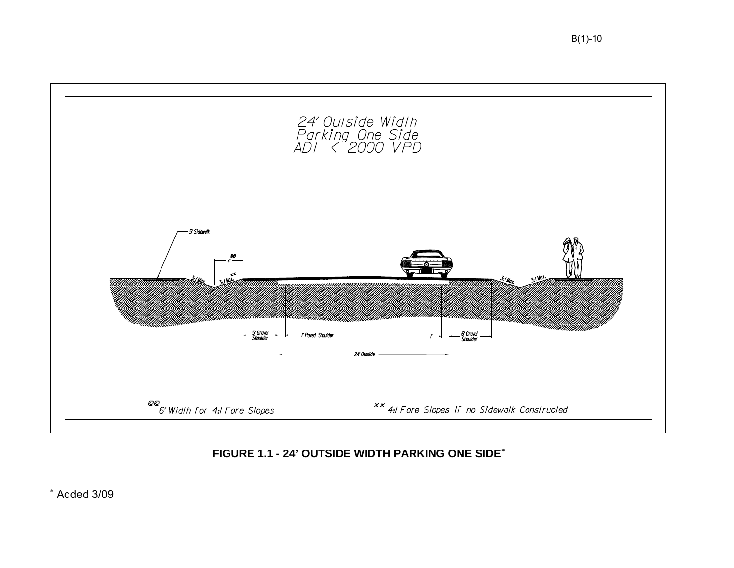

## **FIGURE 1.1 - 24' OUTSIDE WIDTH PARKING ONE SIDE**<sup>∗</sup>

<sup>∗</sup> Added 3/09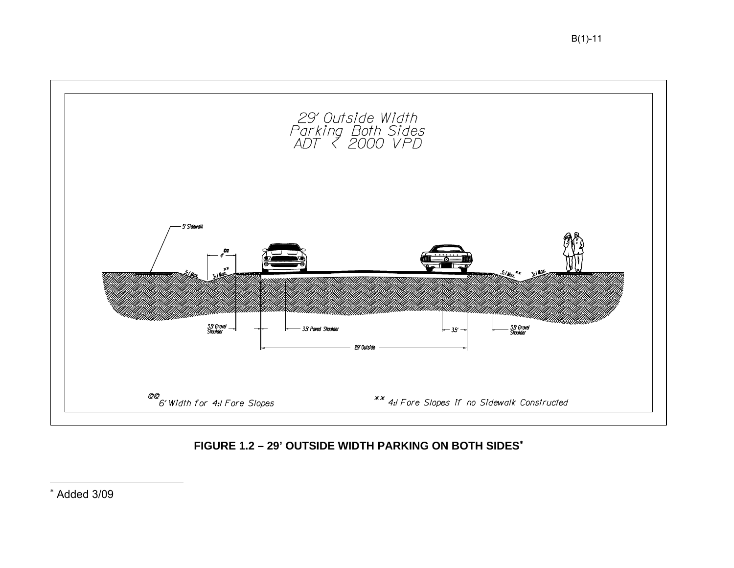

## FIGURE 1.2 - 29' OUTSIDE WIDTH PARKING ON BOTH SIDES\*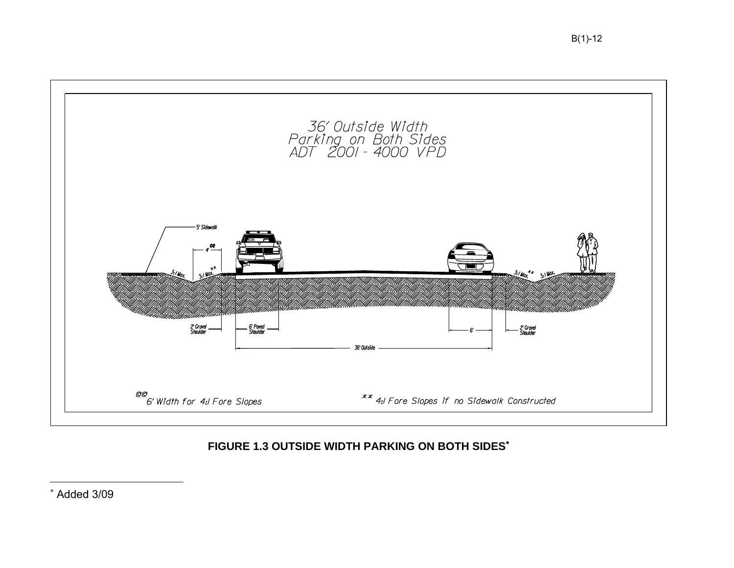

## **FIGURE 1.3 OUTSIDE WIDTH PARKING ON BOTH SIDES**<sup>∗</sup>

<sup>∗</sup> Added 3/09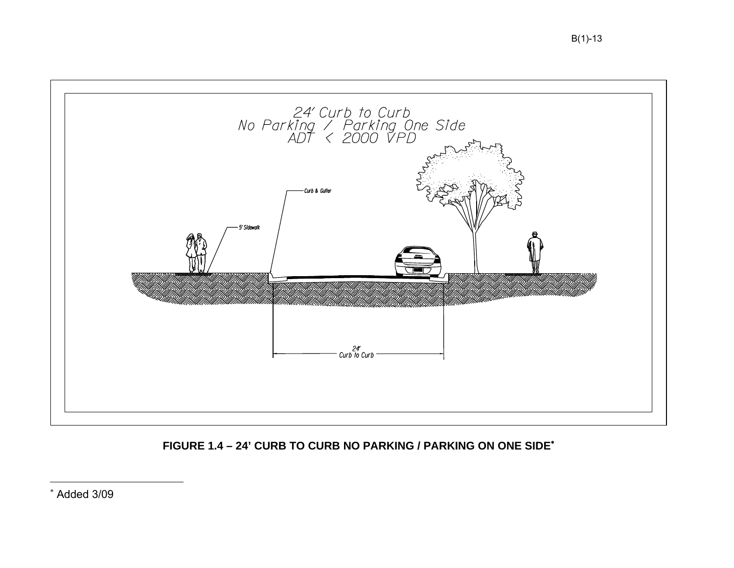

FIGURE 1.4 - 24' CURB TO CURB NO PARKING / PARKING ON ONE SIDE\*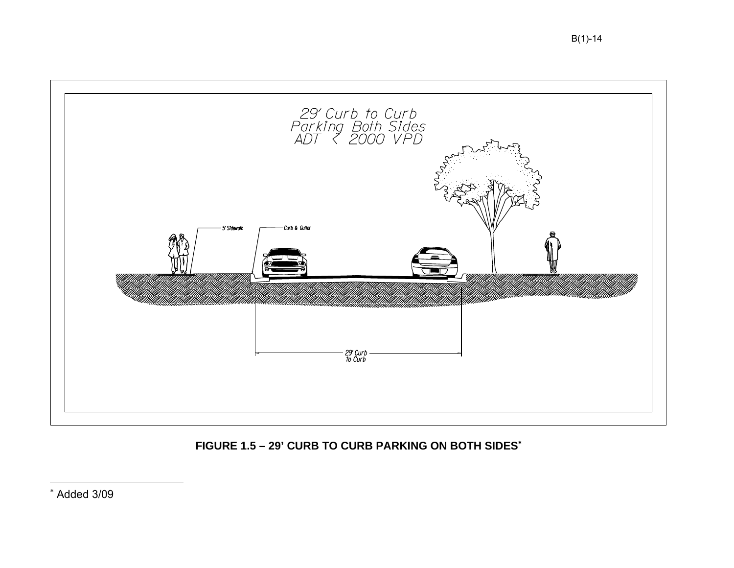

FIGURE 1.5 - 29' CURB TO CURB PARKING ON BOTH SIDES\*